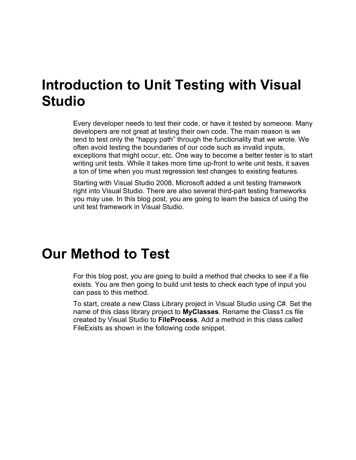## **Introduction to Unit Testing with Visual Studio**

Every developer needs to test their code, or have it tested by someone. Many developers are not great at testing their own code. The main reason is we tend to test only the "happy path" through the functionality that we wrote. We often avoid testing the boundaries of our code such as invalid inputs, exceptions that might occur, etc. One way to become a better tester is to start writing unit tests. While it takes more time up-front to write unit tests, it saves a ton of time when you must regression test changes to existing features.

Starting with Visual Studio 2008, Microsoft added a unit testing framework right into Visual Studio. There are also several third-part testing frameworks you may use. In this blog post, you are going to learn the basics of using the unit test framework in Visual Studio.

### **Our Method to Test**

For this blog post, you are going to build a method that checks to see if a file exists. You are then going to build unit tests to check each type of input you can pass to this method.

To start, create a new Class Library project in Visual Studio using C#. Set the name of this class library project to **MyClasses**. Rename the Class1.cs file created by Visual Studio to **FileProcess**. Add a method in this class called FileExists as shown in the following code snippet.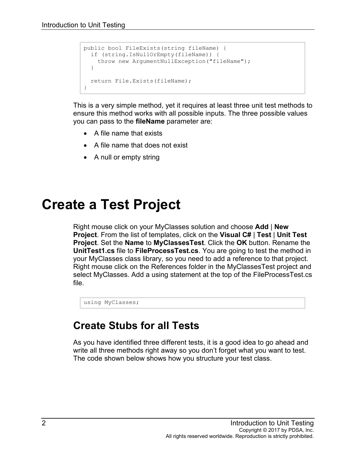```
public bool FileExists(string fileName) {
  if (string.IsNullOrEmpty(fileName)) {
    throw new ArgumentNullException("fileName");
   }
   return File.Exists(fileName);
}
```
This is a very simple method, yet it requires at least three unit test methods to ensure this method works with all possible inputs. The three possible values you can pass to the **fileName** parameter are:

- A file name that exists
- A file name that does not exist
- A null or empty string

## **Create a Test Project**

Right mouse click on your MyClasses solution and choose **Add** | **New Project**. From the list of templates, click on the **Visual C#** | **Test** | **Unit Test Project**. Set the **Name** to **MyClassesTest**. Click the **OK** button. Rename the **UnitTest1.cs** file to **FileProcessTest.cs**. You are going to test the method in your MyClasses class library, so you need to add a reference to that project. Right mouse click on the References folder in the MyClassesTest project and select MyClasses. Add a using statement at the top of the FileProcessTest.cs file.

using MyClasses;

#### **Create Stubs for all Tests**

As you have identified three different tests, it is a good idea to go ahead and write all three methods right away so you don't forget what you want to test. The code shown below shows how you structure your test class.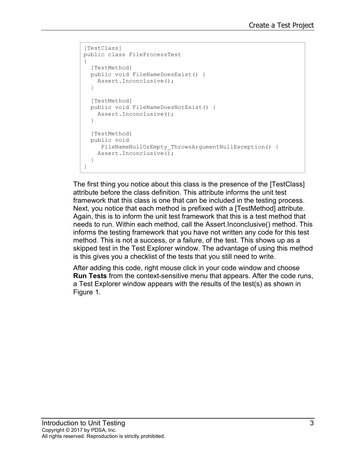```
[TestClass]
public class FileProcessTest
{
   [TestMethod]
   public void FileNameDoesExist() {
    Assert.Inconclusive();
   }
  [TestMethod]
   public void FileNameDoesNotExist() {
    Assert.Inconclusive();
   }
   [TestMethod]
   public void
    FileNameNullOrEmpty ThrowsArgumentNullException() {
    Assert.Inconclusive();
   }
}
```
The first thing you notice about this class is the presence of the [TestClass] attribute before the class definition. This attribute informs the unit test framework that this class is one that can be included in the testing process. Next, you notice that each method is prefixed with a [TestMethod] attribute. Again, this is to inform the unit test framework that this is a test method that needs to run. Within each method, call the Assert.Inconclusive() method. This informs the testing framework that you have not written any code for this test method. This is not a success, or a failure, of the test. This shows up as a skipped test in the Test Explorer window. The advantage of using this method is this gives you a checklist of the tests that you still need to write.

After adding this code, right mouse click in your code window and choose **Run Tests** from the context-sensitive menu that appears. After the code runs, a Test Explorer window appears with the results of the test(s) as shown in [Figure 1.](#page-3-0)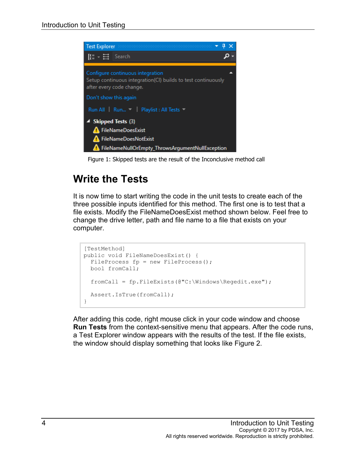

Figure 1: Skipped tests are the result of the Inconclusive method call

### <span id="page-3-0"></span>**Write the Tests**

It is now time to start writing the code in the unit tests to create each of the three possible inputs identified for this method. The first one is to test that a file exists. Modify the FileNameDoesExist method shown below. Feel free to change the drive letter, path and file name to a file that exists on your computer.

```
[TestMethod]
public void FileNameDoesExist() {
 FileProcess fp = new FileProcess();
  bool fromCall;
   fromCall = fp.FileExists(@"C:\Windows\Regedit.exe");
  Assert.IsTrue(fromCall);
}
```
After adding this code, right mouse click in your code window and choose **Run Tests** from the context-sensitive menu that appears. After the code runs, a Test Explorer window appears with the results of the test. If the file exists, the window should display something that looks like [Figure 2.](#page-4-0)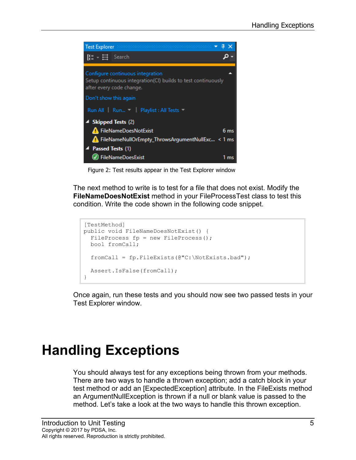

Figure 2: Test results appear in the Test Explorer window

<span id="page-4-0"></span>The next method to write is to test for a file that does not exist. Modify the **FileNameDoesNotExist** method in your FileProcessTest class to test this condition. Write the code shown in the following code snippet.

```
[TestMethod]
public void FileNameDoesNotExist() {
 FileProcess fp = new FileProcess();
  bool fromCall;
   fromCall = fp.FileExists(@"C:\NotExists.bad");
   Assert.IsFalse(fromCall);
}
```
Once again, run these tests and you should now see two passed tests in your Test Explorer window.

## **Handling Exceptions**

You should always test for any exceptions being thrown from your methods. There are two ways to handle a thrown exception; add a catch block in your test method or add an [ExpectedException] attribute. In the FileExists method an ArgumentNullException is thrown if a null or blank value is passed to the method. Let's take a look at the two ways to handle this thrown exception.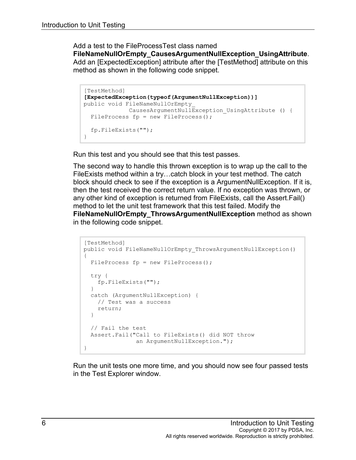Add a test to the FileProcessTest class named **FileNameNullOrEmpty\_CausesArgumentNullException\_UsingAttribute**. Add an [ExpectedException] attribute after the [TestMethod] attribute on this method as shown in the following code snippet.

```
[TestMethod]
[ExpectedException(typeof(ArgumentNullException))]
public void FileNameNullOrEmpty_
             CausesArgumentNullException_UsingAttribute () {
 FileProcess fp = new FileProcess();
  fp.FileExists("");
}
```
Run this test and you should see that this test passes.

The second way to handle this thrown exception is to wrap up the call to the FileExists method within a try…catch block in your test method. The catch block should check to see if the exception is a ArgumentNullException. If it is, then the test received the correct return value. If no exception was thrown, or any other kind of exception is returned from FileExists, call the Assert.Fail() method to let the unit test framework that this test failed. Modify the **FileNameNullOrEmpty\_ThrowsArgumentNullException** method as shown in the following code snippet.

```
[TestMethod]
public void FileNameNullOrEmpty_ThrowsArgumentNullException()
{
  FileProcess fp = new FileProcess();
  try {
    fp.FileExists("");
  }
  catch (ArgumentNullException) {
   // Test was a success
    return;
  }
  // Fail the test
  Assert.Fail("Call to FileExists() did NOT throw 
               an ArgumentNullException.");
}
```
Run the unit tests one more time, and you should now see four passed tests in the Test Explorer window.